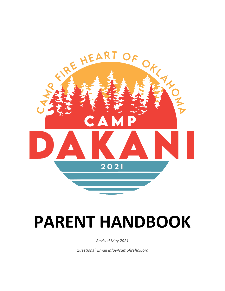

# **PARENT HANDBOOK**

*Revised May 2021*

*Questions? Email info@campfirehok.org*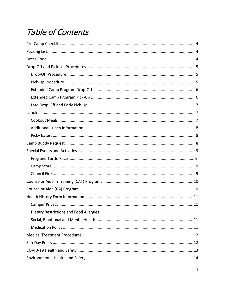# Table of Contents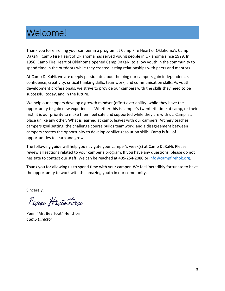# Welcome!

Thank you for enrolling your camper in a program at Camp Fire Heart of Oklahoma's Camp DaKaNi. Camp Fire Heart of Oklahoma has served young people in Oklahoma since 1929. In 1956, Camp Fire Heart of Oklahoma opened Camp DaKaNi to allow youth in the community to spend time in the outdoors while they created lasting relationships with peers and mentors.

At Camp DaKaNi, we are deeply passionate about helping our campers gain independence, confidence, creativity, critical thinking skills, teamwork, and communication skills. As youth development professionals, we strive to provide our campers with the skills they need to be successful today, and in the future.

We help our campers develop a growth mindset (effort over ability) while they have the opportunity to gain new experiences. Whether this is camper's twentieth time at camp, or their first, it is our priority to make them feel safe and supported while they are with us. Camp is a place unlike any other. What is learned at camp, leaves with our campers. Archery teaches campers goal setting, the challenge course builds teamwork, and a disagreement between campers creates the opportunity to develop conflict-resolution skills. Camp is full of opportunities to learn and grow.

The following guide will help you navigate your camper's week(s) at Camp DaKaNi. Please review all sections related to your camper's program. If you have any questions, please do not hesitate to contact our staff. We can be reached at 405-254-2080 or [info@campfirehok.org.](mailto:info@campfirehok.org)

Thank you for allowing us to spend time with your camper. We feel incredibly fortunate to have the opportunity to work with the amazing youth in our community.

Sincerely,

Penn Henthorn

Penn "Mr. Bearfoot" Henthorn *Camp Director*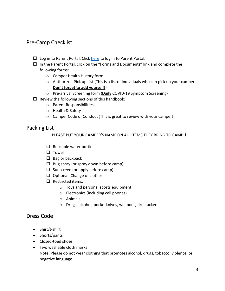# <span id="page-4-0"></span>Pre-Camp Checklist

- $\square$  Log in to Parent Portal. Click [here](https://campfire.campintouch.com/v2/login/login.aspx) to log in to Parent Portal.
- $\Box$  In the Parent Portal, click on the "Forms and Documents" link and complete the following forms:
	- o Camper Health History form
	- o Authorized Pick up List (This is a list of individuals who can pick up your camper. **Don't forget to add yourself!**)
	- o Pre-arrival Screening form (**Daily** COVID-19 Symptom Screening)
- $\Box$  Review the following sections of this handbook:
	- o Parent Responsibilities
	- o Health & Safety
	- o Camper Code of Conduct (This is great to review with your camper!)

#### <span id="page-4-1"></span>Packing List

#### PLEASE PUT YOUR CAMPER'S NAME ON ALL ITEMS THEY BRING TO CAMP!!

- $\Pi$  Reusable water bottle
- $\Pi$  Towel
- $\Box$  Bag or backpack
- $\Box$  Bug spray (or spray down before camp)
- $\square$  Sunscreen (or apply before camp)
- $\square$  Optional: Change of clothes
- $\square$  Restricted items:
	- o Toys and personal sports equipment
	- o Electronics (including cell phones)
	- o Animals
	- o Drugs, alcohol, pocketknives, weapons, firecrackers

## <span id="page-4-2"></span>Dress Code

- Shirt/t-shirt
- Shorts/pants
- Closed-toed shoes
- Two washable cloth masks Note: Please do not wear clothing that promotes alcohol, drugs, tobacco, violence, or negative language.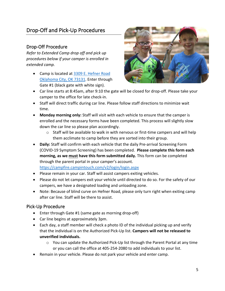# <span id="page-5-0"></span>Drop-Off and Pick-Up Procedures

# <span id="page-5-1"></span>Drop-Off Procedure

*Refer to Extended Camp drop off and pick up procedures below if your camper is enrolled in extended camp.*

• Camp is located at [3309 E. Hefner Road](https://www.google.com/search?q=3309+e+hefner+road&oq=3309+e+hefner+road&aqs=chrome..69i57.4119j0j7&sourceid=chrome&ie=UTF-8)  [Oklahoma City, OK 73131.](https://www.google.com/search?q=3309+e+hefner+road&oq=3309+e+hefner+road&aqs=chrome..69i57.4119j0j7&sourceid=chrome&ie=UTF-8) Enter through Gate #1 (black gate with white sign).



- Car line starts at 8:45am, after 9:10 the gate will be closed for drop-off. Please take your camper to the office for late check-in.
- Staff will direct traffic during car line. Please follow staff directions to minimize wait time.
- **Monday morning only:** Staff will visit with each vehicle to ensure that the camper is enrolled and the necessary forms have been completed. This process will slightly slow down the car line so please plan accordingly.
	- $\circ$  Staff will be available to walk in with nervous or first-time campers and will help them acclimate to camp before they are sorted into their group.
- **Daily:** Staff will confirm with each vehicle that the daily Pre-arrival Screening Form (COVID-19 Symptom Screening) has been completed. **Please complete this form each morning, as we must have this form submitted daily.** This form can be completed through the parent portal in your camper's account.

<https://campfire.campintouch.com/v2/login/login.aspx>

- Please remain in your car. Staff will assist campers exiting vehicles.
- Please do not let campers exit your vehicle until directed to do so. For the safety of our campers, we have a designated loading and unloading zone.
- Note: Because of blind curve on Hefner Road, please only turn right when exiting camp after car line. Staff will be there to assist.

#### <span id="page-5-2"></span>Pick-Up Procedure

- Enter through Gate #1 (same gate as morning drop-off)
- Car line begins at approximately 3pm.
- Each day, a staff member will check a photo ID of the individual picking up and verify that the individual is on the Authorized Pick-Up list. **Campers will not be released to unverified individuals.** 
	- o You can update the Authorized Pick-Up list through the Parent Portal at any time or you can call the office at 405-254-2080 to add individuals to your list.
- Remain in your vehicle. Please do not park your vehicle and enter camp.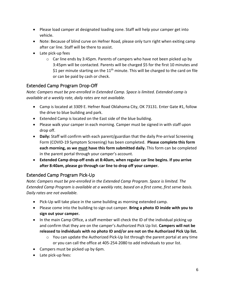- Please load camper at designated loading zone. Staff will help your camper get into vehicle.
- Note: Because of blind curve on Hefner Road, please only turn right when exiting camp after car line. Staff will be there to assist.
- Late pick-up fees
	- $\circ$  Car line ends by 3:45pm. Parents of campers who have not been picked up by 3:45pm will be contacted. Parents will be charged \$5 for the first 10 minutes and \$1 per minute starting on the  $11<sup>th</sup>$  minute. This will be charged to the card on file or can be paid by cash or check.

# <span id="page-6-0"></span>Extended Camp Program Drop-Off

*Note: Campers must be pre-enrolled in Extended Camp. Space is limited. Extended camp is available at a weekly rate, daily rates are not available.* 

- Camp is located at 3309 E. Hefner Road Oklahoma City, OK 73131. Enter Gate #1, follow the drive to blue building and park.
- Extended Camp is located on the East side of the blue building.
- Please walk your camper in each morning. Camper must be signed in with staff upon drop off.
- **Daily:** Staff will confirm with each parent/guardian that the daily Pre-arrival Screening Form (COVID-19 Symptom Screening) has been completed. **Please complete this form each morning, as we must have this form submitted daily.** This form can be completed in the parent portal through your camper's account.
- **Extended Camp drop-off ends at 8:40am, when regular car line begins. If you arrive after 8:40am, please go through car line to drop off your camper.**

## <span id="page-6-1"></span>Extended Camp Program Pick-Up

*Note: Campers must be pre-enrolled in the Extended Camp Program. Space is limited. The Extended Camp Program is available at a weekly rate, based on a first come, first serve basis. Daily rates are not available.* 

- Pick-Up will take place in the same building as morning extended camp.
- Please come into the building to sign out camper. **Bring a photo ID inside with you to sign out your camper.**
- In the main Camp Office, a staff member will check the ID of the individual picking up and confirm that they are on the camper's Authorized Pick Up list. **Campers will not be released to individuals with no photo ID and/or are not on the Authorized Pick Up list.** 
	- $\circ$  You can update the Authorized Pick-Up list through the parent portal at any time or you can call the office at 405-254-2080 to add individuals to your list.
- Campers must be picked up by 6pm.
- Late pick-up fees: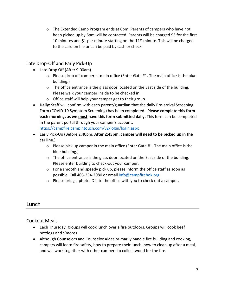$\circ$  The Extended Camp Program ends at 6pm. Parents of campers who have not been picked up by 6pm will be contacted. Parents will be charged \$5 for the first 10 minutes and \$1 per minute starting on the  $11<sup>th</sup>$  minute. This will be charged to the card on file or can be paid by cash or check.

# <span id="page-7-0"></span>Late Drop-Off and Early Pick-Up

- Late Drop Off (After 9:00am)
	- $\circ$  Please drop off camper at main office (Enter Gate #1. The main office is the blue building.)
	- $\circ$  The office entrance is the glass door located on the East side of the building. Please walk your camper inside to be checked in.
	- o Office staff will help your camper get to their group.
- **Daily:** Staff will confirm with each parent/guardian that the daily Pre-arrival Screening Form (COVID-19 Symptom Screening) has been completed. **Please complete this form each morning, as we must have this form submitted daily.** This form can be completed in the parent portal through your camper's account. <https://campfire.campintouch.com/v2/login/login.aspx>
- Early Pick-Up (Before 2:40pm. **After 2:45pm, camper will need to be picked up in the car line**.)
	- $\circ$  Please pick up camper in the main office (Enter Gate #1. The main office is the blue building.)
	- o The office entrance is the glass door located on the East side of the building. Please enter building to check-out your camper.
	- $\circ$  For a smooth and speedy pick up, please inform the office staff as soon as possible. Call 405-254-2080 or email [info@campfirehok.org](mailto:info@campfirehok.org)
	- o Please bring a photo ID into the office with you to check out a camper.

# <span id="page-7-1"></span>Lunch

## <span id="page-7-2"></span>Cookout Meals

- Each Thursday, groups will cook lunch over a fire outdoors. Groups will cook beef hotdogs and s'mores.
- Although Counselors and Counselor Aides primarily handle fire building and cooking, campers will learn fire safety, how to prepare their lunch, how to clean up after a meal, and will work together with other campers to collect wood for the fire.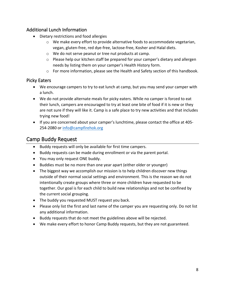# <span id="page-8-0"></span>Additional Lunch Information

- Dietary restrictions and food allergies
	- o We make every effort to provide alternative foods to accommodate vegetarian, vegan, gluten-free, red dye-free, lactose-free, Kosher and Halal diets.
	- o We do not serve peanut or tree nut products at camp.
	- $\circ$  Please help our kitchen staff be prepared for your camper's dietary and allergen needs by listing them on your camper's Health History form.
	- $\circ$  For more information, please see the Health and Safety section of this handbook.

## <span id="page-8-1"></span>Picky Eaters

- We encourage campers to try to eat lunch at camp, but you may send your camper with a lunch.
- We do not provide alternate meals for picky eaters. While no camper is forced to eat their lunch, campers are encouraged to try at least one bite of food if it is new or they are not sure if they will like it. Camp is a safe place to try new activities and that includes trying new food!
- If you are concerned about your camper's lunchtime, please contact the office at 405- 254-2080 or [info@campfirehok.org](mailto:info@campfirehok.org)

# <span id="page-8-2"></span>Camp Buddy Request

- Buddy requests will only be available for first time campers.
- Buddy requests can be made during enrollment or via the parent portal.
- You may only request ONE buddy.
- Buddies must be no more than one year apart (either older or younger)
- The biggest way we accomplish our mission is to help children discover new things outside of their normal social settings and environment. This is the reason we do not intentionally create groups where three or more children have requested to be together. Our goal is for each child to build new relationships and not be confined by the current social grouping.
- The buddy you requested MUST request you back.
- Please only list the first and last name of the camper you are requesting only. Do not list any additional information.
- Buddy requests that do not meet the guidelines above will be rejected.
- We make every effort to honor Camp Buddy requests, but they are not guaranteed.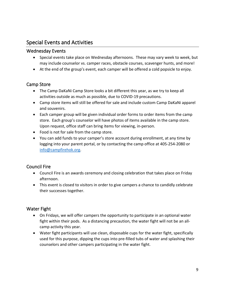# <span id="page-9-0"></span>Special Events and Activities

#### Wednesday Events

- Special events take place on Wednesday afternoons. These may vary week to week, but may include counselor vs. camper races, obstacle courses, scavenger hunts, and more!
- At the end of the group's event, each camper will be offered a cold popsicle to enjoy.

#### <span id="page-9-1"></span>Camp Store

- The Camp DaKaNi Camp Store looks a bit different this year, as we try to keep all activities outside as much as possible, due to COVID-19 precautions.
- Camp store items will still be offered for sale and include custom Camp DaKaNi apparel and souvenirs.
- Each camper group will be given individual order forms to order items from the camp store. Each group's counselor will have photos of items available in the camp store. Upon request, office staff can bring items for viewing, in-person.
- Food is not for sale from the camp store.
- You can add funds to your camper's store account during enrollment, at any time by logging into your parent portal, or by contacting the camp office at 405-254-2080 or [info@campfirehok.org.](mailto:info@campfirehok.org)

## <span id="page-9-2"></span>Council Fire

- Council Fire is an awards ceremony and closing celebration that takes place on Friday afternoon.
- This event is closed to visitors in order to give campers a chance to candidly celebrate their successes together.

## Water Fight

- On Fridays, we will offer campers the opportunity to participate in an optional water fight within their pods. As a distancing precaution, the water fight will not be an allcamp activity this year.
- Water fight participants will use clean, disposable cups for the water fight, specifically used for this purpose, dipping the cups into pre-filled tubs of water and splashing their counselors and other campers participating in the water fight.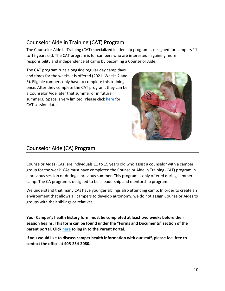# <span id="page-10-0"></span>Counselor Aide in Training (CAT) Program

The Counselor Aide in Training (CAT) specialized leadership program is designed for campers 11 to 15 years old. The CAT program is for campers who are interested in gaining more responsibility and independence at camp by becoming a Counselor Aide.

The CAT program runs alongside regular day camp days and times for the weeks it is offered (2021: Weeks 2 and 3). Eligible campers only have to complete this training once. After they complete the CAT program, they can be a Counselor Aide later that summer or in future summers. Space is very limited. Please click [here](https://campfire.campintouch.com/ui/unrestricted/pricing/DatesAndRates) for CAT session dates.



# <span id="page-10-1"></span>Counselor Aide (CA) Program

Counselor Aides (CAs) are individuals 11 to 15 years old who assist a counselor with a camper group for the week. CAs must have completed the Counselor Aide in Training (CAT) program in a previous session or during a previous summer. This program is only offered during summer camp. The CA program is designed to be a leadership and mentorship program.

We understand that many CAs have younger siblings also attending camp. In order to create an environment that allows all campers to develop autonomy, we do not assign Counselor Aides to groups with their siblings or relatives.

**Your Camper's health history form must be completed at least two weeks before their session begins. This form can be found under the "Forms and Documents" section of the parent portal. Click [here](https://campfire.campintouch.com/v2/login/login.aspx) to log in to the Parent Portal.** 

**If you would like to discuss camper health information with our staff, please feel free to contact the office at 405-254-2080.**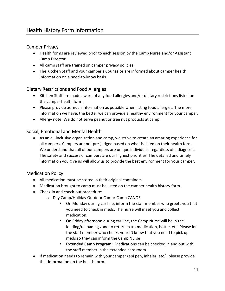# <span id="page-11-1"></span><span id="page-11-0"></span>Camper Privacy

- Health forms are reviewed prior to each session by the Camp Nurse and/or Assistant Camp Director.
- All camp staff are trained on camper privacy policies.
- The Kitchen Staff and your camper's Counselor are informed about camper health information on a need-to-know basis.

# <span id="page-11-2"></span>Dietary Restrictions and Food Allergies

- Kitchen Staff are made aware of any food allergies and/or dietary restrictions listed on the camper health form.
- Please provide as much information as possible when listing food allergies. The more information we have, the better we can provide a healthy environment for your camper.
- Allergy note: We do not serve peanut or tree nut products at camp.

#### <span id="page-11-3"></span>Social, Emotional and Mental Health

• As an all-inclusive organization and camp, we strive to create an amazing experience for all campers. Campers are not pre-judged based on what is listed on their health form. We understand that all of our campers are unique individuals regardless of a diagnosis. The safety and success of campers are our highest priorities. The detailed and timely information you give us will allow us to provide the best environment for your camper.

## <span id="page-11-4"></span>Medication Policy

- All medication must be stored in their original containers.
- Medication brought to camp must be listed on the camper health history form.
- Check-in and check-out procedure:
	- o Day Camp/Holiday Outdoor Camp/ Camp CANOE
		- On Monday during car line, inform the staff member who greets you that you need to check in meds. The nurse will meet you and collect medication.
		- On Friday afternoon during car line, the Camp Nurse will be in the loading/unloading zone to return extra medication, bottle, etc. Please let the staff member who checks your ID know that you need to pick up meds so they can inform the Camp Nurse
		- **Extended Camp Program**: Medications can be checked in and out with the staff member in the extended care room.
- If medication needs to remain with your camper (epi pen, inhaler, etc.), please provide that information on the health form.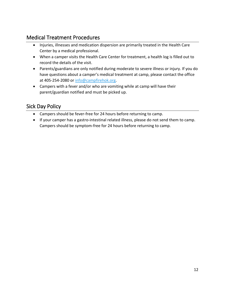# <span id="page-12-0"></span>Medical Treatment Procedures

- Injuries, illnesses and medication dispersion are primarily treated in the Health Care Center by a medical professional.
- When a camper visits the Health Care Center for treatment, a health log is filled out to record the details of the visit.
- Parents/guardians are only notified during moderate to severe illness or injury. If you do have questions about a camper's medical treatment at camp, please contact the office at 405-254-2080 or [info@campfirehok.org.](mailto:info@campfirehok.org)
- Campers with a fever and/or who are vomiting while at camp will have their parent/guardian notified and must be picked up.

# <span id="page-12-1"></span>Sick Day Policy

- Campers should be fever-free for 24 hours before returning to camp.
- If your camper has a gastro-intestinal related illness, please do not send them to camp. Campers should be symptom-free for 24 hours before returning to camp.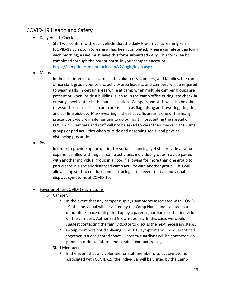# <span id="page-13-0"></span>COVID-19 Health and Safety

- Daily Health Check
	- $\circ$  Staff will confirm with each vehicle that the daily Pre-arrival Screening Form (COVID-19 Symptom Screening) has been completed. **Please complete this form each morning, as we must have this form submitted daily.** This form can be completed through the parent portal in your camper's account. <https://campfire.campintouch.com/v2/login/login.aspx>
- Masks
	- o In the best interest of all camp staff, volunteers, campers, and families, the camp office staff, group counselors, activity area leaders, and campers will be required to wear masks in certain areas while at camp when multiple camper groups are present or when inside a building, such as in the camp office during late check-in or early check-out or in the nurse's station. Campers and staff will also be asked to wear their masks in all-camp areas, such as flag raising and lowering, sing ring, and car line pick-up. Mask-wearing in these specific areas is one of the many precautions we are implementing to do our part in preventing the spread of COVID-19. Campers and staff will not be asked to wear their masks in their small groups or pod activities when outside and observing social and physical distancing precautions.
- Pods
	- $\circ$  In order to provide opportunities for social distancing, yet still provide a camp experience filled with regular camp activities, individual groups may be paired with another individual group in a "pod," allowing for more than one group to participate in a socially distanced camp activity with another group. This will allow camp staff to conduct contact tracing in the event that an individual displays symptoms of COVID-19.

#### **Fever or other COVID-19 Symptoms**

- o Camper:
	- In the event that any camper displays symptoms associated with COVID-19, the individual will be visited by the Camp Nurse and isolated in a quarantine space until picked up by a parent/guardian or other individual on the camper's Authorized Grown-ups list. In this case, we would suggest contacting the family doctor to discuss the next necessary steps.
	- Group members not displaying COVID-19 symptoms will be quarantined together in a designated space. Parents/guardians will be contacted via phone in order to inform and conduct contact tracing.
- o Staff Member:
	- In the event that any volunteer or staff member displays symptoms associated with COVID-19, the individual will be visited by the Camp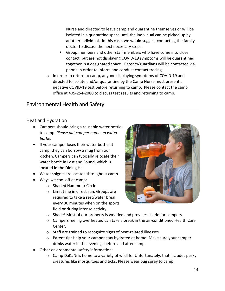Nurse and directed to leave camp and quarantine themselves or will be isolated in a quarantine space until the individual can be picked up by another individual. In this case, we would suggest contacting the family doctor to discuss the next necessary steps.

- Group members and other staff members who have come into close contact, but are not displaying COVID-19 symptoms will be quarantined together in a designated space. Parents/guardians will be contacted via phone in order to inform and conduct contact tracing.
- $\circ$  In order to return to camp, anyone displaying symptoms of COVID-19 and directed to isolate and/or quarantine by the Camp Nurse must present a negative COVID-19 test before returning to camp. Please contact the camp office at 405-254-2080 to discuss test results and returning to camp.

# <span id="page-14-0"></span>Environmental Health and Safety

#### <span id="page-14-1"></span>Heat and Hydration

- Campers should bring a reusable water bottle to camp. *Please put camper name on water bottle.*
- If your camper loses their water bottle at camp, they can borrow a mug from our kitchen. Campers can typically relocate their water bottle in Lost and Found, which is located in the Dining Hall.
- Water spigots are located throughout camp.
- Ways we cool off at camp:
	- o Shaded Hammock Circle
	- o Limit time in direct sun. Groups are required to take a rest/water break every 30 minutes when on the sports field or during intense activity.



- o Shade! Most of our property is wooded and provides shade for campers.
- $\circ$  Campers feeling overheated can take a break in the air-conditioned Health Care Center.
- o Staff are trained to recognize signs of heat-related illnesses.
- o Parent tip: Help your camper stay hydrated at home! Make sure your camper drinks water in the evenings before and after camp.
- Other environmental safety information:
	- o Camp DaKaNi is home to a variety of wildlife! Unfortunately, that includes pesky creatures like mosquitoes and ticks. Please wear bug spray to camp.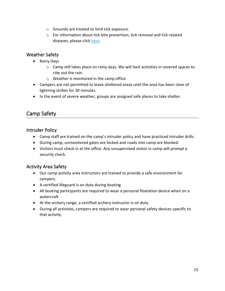- o Grounds are treated to limit tick exposure.
- o For information about tick bite prevention, tick removal and tick-related diseases, please click [here.](https://www.cdc.gov/ticks/index.html)

#### <span id="page-15-0"></span>Weather Safety

- Rainy Days
	- $\circ$  Camp still takes place on rainy days. We will host activities in covered spaces to ride out the rain.
	- o Weather is monitored in the camp office.
- Campers are not permitted to leave sheltered areas until the area has been clear of lightning strikes for 30 minutes.
- In the event of severe weather, groups are assigned safe places to take shelter.

# <span id="page-15-1"></span>Camp Safety

#### <span id="page-15-2"></span>Intruder Policy

- Camp staff are trained on the camp's intruder policy and have practiced intruder drills.
- During camp, unmonitored gates are locked and roads into camp are blocked.
- Visitors must check in at the office. Any unsupervised visitor in camp will prompt a security check.

## <span id="page-15-3"></span>Activity Area Safety

- Our camp activity area instructors are trained to provide a safe environment for campers.
- A certified lifeguard is on duty during boating.
- All boating participants are required to wear a personal floatation device when on a watercraft.
- At the archery range, a certified archery instructor is on duty.
- During all activities, campers are required to wear personal safety devices specific to that activity.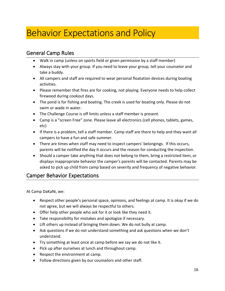# Behavior Expectations and Policy

# <span id="page-16-0"></span>General Camp Rules

- Walk in camp (unless on sports field or given permission by a staff member)
- Always stay with your group. If you need to leave your group, tell your counselor and take a buddy.
- All campers and staff are required to wear personal floatation devices during boating activities.
- Please remember that fires are for cooking, not playing. Everyone needs to help collect firewood during cookout days.
- The pond is for fishing and boating. The creek is used for boating only. Please do not swim or wade in water.
- The Challenge Course is off limits unless a staff member is present.
- Camp is a "screen Free" zone. Please leave all electronics (cell phones, tablets, games, etc)
- If there is a problem, tell a staff member. Camp staff are there to help and they want all campers to have a fun and safe summer.
- There are times when staff may need to inspect campers' belongings. If this occurs, parents will be notified the day it occurs and the reason for conducting the inspection.
- Should a camper take anything that does not belong to them, bring a restricted item, or displays inappropriate behavior the camper's parents will be contacted. Parents may be asked to pick up child from camp based on severity and frequency of negative behavior.

# <span id="page-16-1"></span>Camper Behavior Expectations

At Camp DaKaNi, we:

- Respect other people's personal space, opinions, and feelings at camp. It is okay if we do not agree, but we will always be respectful to others.
- Offer help other people who ask for it or look like they need it.
- Take responsibility for mistakes and apologize if necessary.
- Lift others up instead of bringing them down. We do not bully at camp.
- Ask questions if we do not understand something and ask questions when we don't understand.
- Try something at least once at camp before we say we do not like it.
- Pick up after ourselves at lunch and throughout camp.
- Respect the environment at camp.
- Follow directions given by our counselors and other staff.